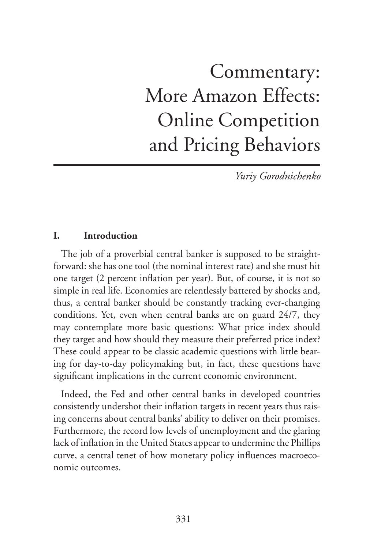# Commentary: More Amazon Effects: Online Competition and Pricing Behaviors

*Yuriy Gorodnichenko*

## **I. Introduction**

The job of a proverbial central banker is supposed to be straightforward: she has one tool (the nominal interest rate) and she must hit one target (2 percent inflation per year). But, of course, it is not so simple in real life. Economies are relentlessly battered by shocks and, thus, a central banker should be constantly tracking ever-changing conditions. Yet, even when central banks are on guard 24/7, they may contemplate more basic questions: What price index should they target and how should they measure their preferred price index? These could appear to be classic academic questions with little bearing for day-to-day policymaking but, in fact, these questions have significant implications in the current economic environment.

Indeed, the Fed and other central banks in developed countries consistently undershot their inflation targets in recent years thus raising concerns about central banks' ability to deliver on their promises. Furthermore, the record low levels of unemployment and the glaring lack of inflation in the United States appear to undermine the Phillips curve, a central tenet of how monetary policy influences macroeconomic outcomes.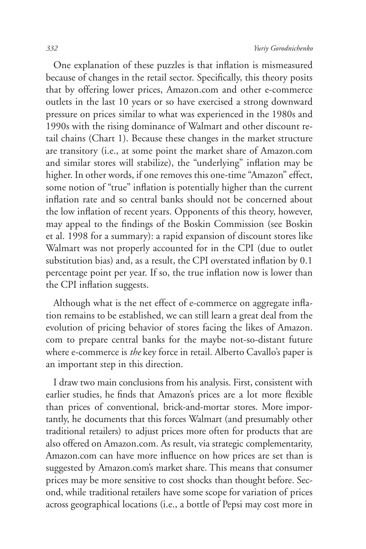One explanation of these puzzles is that inflation is mismeasured because of changes in the retail sector. Specifically, this theory posits that by offering lower prices, Amazon.com and other e-commerce outlets in the last 10 years or so have exercised a strong downward pressure on prices similar to what was experienced in the 1980s and 1990s with the rising dominance of Walmart and other discount retail chains (Chart 1). Because these changes in the market structure are transitory (i.e., at some point the market share of Amazon.com and similar stores will stabilize), the "underlying" inflation may be higher. In other words, if one removes this one-time "Amazon" effect, some notion of "true" inflation is potentially higher than the current inflation rate and so central banks should not be concerned about the low inflation of recent years. Opponents of this theory, however, may appeal to the findings of the Boskin Commission (see Boskin et al. 1998 for a summary): a rapid expansion of discount stores like Walmart was not properly accounted for in the CPI (due to outlet substitution bias) and, as a result, the CPI overstated inflation by 0.1 percentage point per year. If so, the true inflation now is lower than the CPI inflation suggests.

Although what is the net effect of e-commerce on aggregate inflation remains to be established, we can still learn a great deal from the evolution of pricing behavior of stores facing the likes of Amazon. com to prepare central banks for the maybe not-so-distant future where e-commerce is *the* key force in retail. Alberto Cavallo's paper is an important step in this direction.

I draw two main conclusions from his analysis. First, consistent with earlier studies, he finds that Amazon's prices are a lot more flexible than prices of conventional, brick-and-mortar stores. More importantly, he documents that this forces Walmart (and presumably other traditional retailers) to adjust prices more often for products that are also offered on Amazon.com. As result, via strategic complementarity, Amazon.com can have more influence on how prices are set than is suggested by Amazon.com's market share. This means that consumer prices may be more sensitive to cost shocks than thought before. Second, while traditional retailers have some scope for variation of prices across geographical locations (i.e., a bottle of Pepsi may cost more in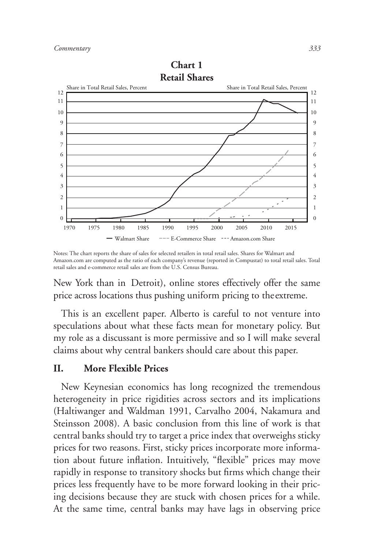

Notes: The chart reports the share of sales for selected retailers in total retail sales. Shares for Walmart and Amazon.com are computed as the ratio of each company's revenue (reported in Compustat) to total retail sales. Total retail sales and e-commerce retail sales are from the U.S. Census Bureau.

New York than in Detroit), online stores effectively offer the same price across locations thus pushing uniform pricing to the extreme.

This is an excellent paper. Alberto is careful to not venture into speculations about what these facts mean for monetary policy. But my role as a discussant is more permissive and so I will make several claims about why central bankers should care about this paper.

## **II. More Flexible Prices**

New Keynesian economics has long recognized the tremendous heterogeneity in price rigidities across sectors and its implications (Haltiwanger and Waldman 1991, Carvalho 2004, Nakamura and Steinsson 2008). A basic conclusion from this line of work is that central banks should try to target a price index that overweighs sticky prices for two reasons. First, sticky prices incorporate more information about future inflation. Intuitively, "flexible" prices may move rapidly in response to transitory shocks but firms which change their prices less frequently have to be more forward looking in their pricing decisions because they are stuck with chosen prices for a while. At the same time, central banks may have lags in observing price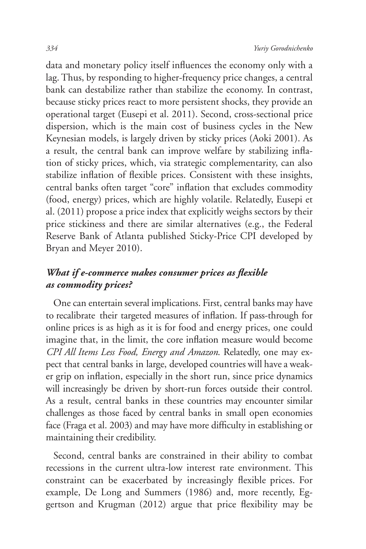data and monetary policy itself influences the economy only with a lag. Thus, by responding to higher-frequency price changes, a central bank can destabilize rather than stabilize the economy. In contrast, because sticky prices react to more persistent shocks, they provide an operational target (Eusepi et al. 2011). Second, cross-sectional price dispersion, which is the main cost of business cycles in the New Keynesian models, is largely driven by sticky prices (Aoki 2001). As a result, the central bank can improve welfare by stabilizing inflation of sticky prices, which, via strategic complementarity, can also stabilize inflation of flexible prices. Consistent with these insights, central banks often target "core" inflation that excludes commodity (food, energy) prices, which are highly volatile. Relatedly, Eusepi et al. (2011) propose a price index that explicitly weighs sectors by their price stickiness and there are similar alternatives (e.g., the Federal Reserve Bank of Atlanta published Sticky-Price CPI developed by Bryan and Meyer 2010).

# *What if e-commerce makes consumer prices as flexible as commodity prices?*

One can entertain several implications. First, central banks may have to recalibrate their targeted measures of inflation. If pass-through for online prices is as high as it is for food and energy prices, one could imagine that, in the limit, the core inflation measure would become *CPI All Items Less Food, Energy and Amazon*. Relatedly, one may expect that central banks in large, developed countries will have a weaker grip on inflation, especially in the short run, since price dynamics will increasingly be driven by short-run forces outside their control. As a result, central banks in these countries may encounter similar challenges as those faced by central banks in small open economies face (Fraga et al. 2003) and may have more difficulty in establishing or maintaining their credibility.

Second, central banks are constrained in their ability to combat recessions in the current ultra-low interest rate environment. This constraint can be exacerbated by increasingly flexible prices. For example, De Long and Summers (1986) and, more recently, Eggertson and Krugman (2012) argue that price flexibility may be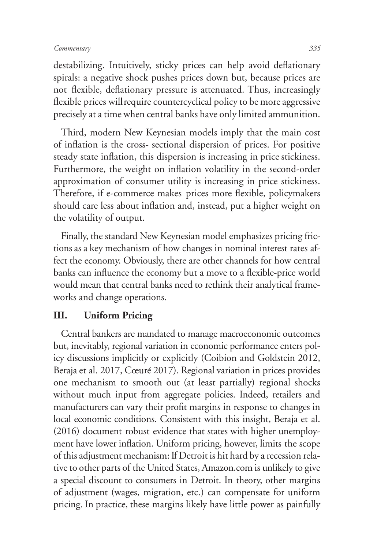destabilizing. Intuitively, sticky prices can help avoid deflationary spirals: a negative shock pushes prices down but, because prices are not flexible, deflationary pressure is attenuated. Thus, increasingly flexible prices will require countercyclical policy to be more aggressive precisely at a time when central banks have only limited ammunition.

Third, modern New Keynesian models imply that the main cost of inflation is the cross- sectional dispersion of prices. For positive steady state inflation, this dispersion is increasing in price stickiness. Furthermore, the weight on inflation volatility in the second-order approximation of consumer utility is increasing in price stickiness. Therefore, if e-commerce makes prices more flexible, policymakers should care less about inflation and, instead, put a higher weight on the volatility of output.

Finally, the standard New Keynesian model emphasizes pricing frictions as a key mechanism of how changes in nominal interest rates affect the economy. Obviously, there are other channels for how central banks can influence the economy but a move to a flexible-price world would mean that central banks need to rethink their analytical frameworks and change operations.

## **III. Uniform Pricing**

Central bankers are mandated to manage macroeconomic outcomes but, inevitably, regional variation in economic performance enters policy discussions implicitly or explicitly (Coibion and Goldstein 2012, Beraja et al. 2017, Cœuré 2017). Regional variation in prices provides one mechanism to smooth out (at least partially) regional shocks without much input from aggregate policies. Indeed, retailers and manufacturers can vary their profit margins in response to changes in local economic conditions. Consistent with this insight, Beraja et al. (2016) document robust evidence that states with higher unemployment have lower inflation. Uniform pricing, however, limits the scope of this adjustment mechanism: If Detroit is hit hard by a recession relative to other parts of the United States, Amazon.com is unlikely to give a special discount to consumers in Detroit. In theory, other margins of adjustment (wages, migration, etc.) can compensate for uniform pricing. In practice, these margins likely have little power as painfully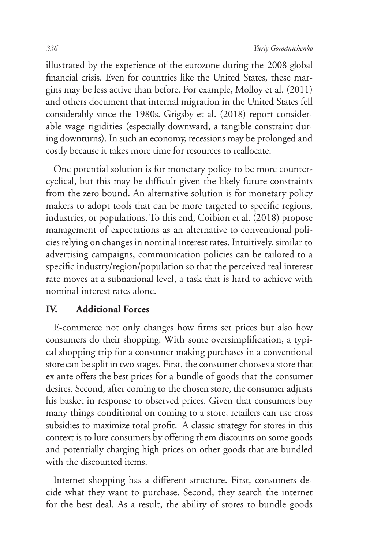illustrated by the experience of the eurozone during the 2008 global financial crisis. Even for countries like the United States, these margins may be less active than before. For example, Molloy et al. (2011) and others document that internal migration in the United States fell considerably since the 1980s. Grigsby et al. (2018) report considerable wage rigidities (especially downward, a tangible constraint during downturns). In such an economy, recessions may be prolonged and costly because it takes more time for resources to reallocate.

One potential solution is for monetary policy to be more countercyclical, but this may be difficult given the likely future constraints from the zero bound. An alternative solution is for monetary policy makers to adopt tools that can be more targeted to specific regions, industries, or populations. To this end, Coibion et al. (2018) propose management of expectations as an alternative to conventional policies relying on changes in nominal interest rates. Intuitively, similar to advertising campaigns, communication policies can be tailored to a specific industry/region/population so that the perceived real interest rate moves at a subnational level, a task that is hard to achieve with nominal interest rates alone.

# **IV. Additional Forces**

E-commerce not only changes how firms set prices but also how consumers do their shopping. With some oversimplification, a typical shopping trip for a consumer making purchases in a conventional store can be split in two stages. First, the consumer chooses a store that ex ante offers the best prices for a bundle of goods that the consumer desires. Second, after coming to the chosen store, the consumer adjusts his basket in response to observed prices. Given that consumers buy many things conditional on coming to a store, retailers can use cross subsidies to maximize total profit. A classic strategy for stores in this context is to lure consumers by offering them discounts on some goods and potentially charging high prices on other goods that are bundled with the discounted items.

Internet shopping has a different structure. First, consumers decide what they want to purchase. Second, they search the internet for the best deal. As a result, the ability of stores to bundle goods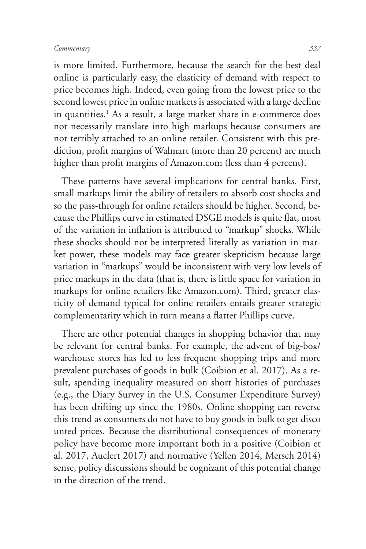is more limited. Furthermore, because the search for the best deal online is particularly easy, the elasticity of demand with respect to price becomes high. Indeed, even going from the lowest price to the second lowest price in online markets is associated with a large decline in quantities.<sup>1</sup> As a result, a large market share in e-commerce does not necessarily translate into high markups because consumers are not terribly attached to an online retailer. Consistent with this prediction, profit margins of Walmart (more than 20 percent) are much higher than profit margins of Amazon.com (less than 4 percent).

These patterns have several implications for central banks. First, small markups limit the ability of retailers to absorb cost shocks and so the pass-through for online retailers should be higher. Second, because the Phillips curve in estimated DSGE models is quite flat, most of the variation in inflation is attributed to "markup" shocks. While these shocks should not be interpreted literally as variation in market power, these models may face greater skepticism because large variation in "markups" would be inconsistent with very low levels of price markups in the data (that is, there is little space for variation in markups for online retailers like Amazon.com). Third, greater elasticity of demand typical for online retailers entails greater strategic complementarity which in turn means a flatter Phillips curve.

There are other potential changes in shopping behavior that may be relevant for central banks. For example, the advent of big-box/ warehouse stores has led to less frequent shopping trips and more prevalent purchases of goods in bulk (Coibion et al. 2017). As a result, spending inequality measured on short histories of purchases (e.g., the Diary Survey in the U.S. Consumer Expenditure Survey) has been drifting up since the 1980s. Online shopping can reverse this trend as consumers do not have to buy goods in bulk to get disco unted prices. Because the distributional consequences of monetary policy have become more important both in a positive (Coibion et al. 2017, Auclert 2017) and normative (Yellen 2014, Mersch 2014) sense, policy discussions should be cognizant of this potential change in the direction of the trend.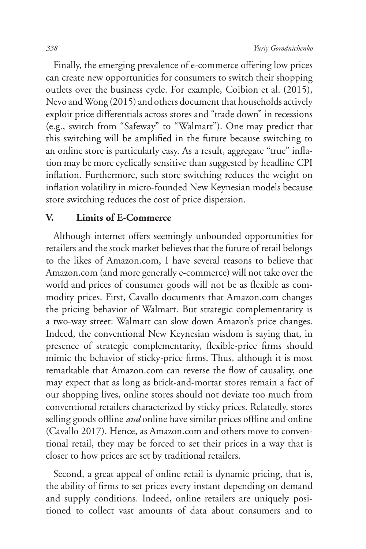Finally, the emerging prevalence of e-commerce offering low prices can create new opportunities for consumers to switch their shopping outlets over the business cycle. For example, Coibion et al. (2015), Nevo and Wong (2015) and others document that households actively exploit price differentials across stores and "trade down" in recessions (e.g., switch from "Safeway" to "Walmart"). One may predict that this switching will be amplified in the future because switching to an online store is particularly easy. As a result, aggregate "true" inflation may be more cyclically sensitive than suggested by headline CPI inflation. Furthermore, such store switching reduces the weight on inflation volatility in micro-founded New Keynesian models because store switching reduces the cost of price dispersion.

# **V. Limits of E-Commerce**

Although internet offers seemingly unbounded opportunities for retailers and the stock market believes that the future of retail belongs to the likes of Amazon.com, I have several reasons to believe that Amazon.com (and more generally e-commerce) will not take over the world and prices of consumer goods will not be as flexible as commodity prices. First, Cavallo documents that Amazon.com changes the pricing behavior of Walmart. But strategic complementarity is a two-way street: Walmart can slow down Amazon's price changes. Indeed, the conventional New Keynesian wisdom is saying that, in presence of strategic complementarity, flexible-price firms should mimic the behavior of sticky-price firms. Thus, although it is most remarkable that Amazon.com can reverse the flow of causality, one may expect that as long as brick-and-mortar stores remain a fact of our shopping lives, online stores should not deviate too much from conventional retailers characterized by sticky prices. Relatedly, stores selling goods offline *and* online have similar prices offline and online (Cavallo 2017). Hence, as Amazon.com and others move to conventional retail, they may be forced to set their prices in a way that is closer to how prices are set by traditional retailers.

Second, a great appeal of online retail is dynamic pricing, that is, the ability of firms to set prices every instant depending on demand and supply conditions. Indeed, online retailers are uniquely positioned to collect vast amounts of data about consumers and to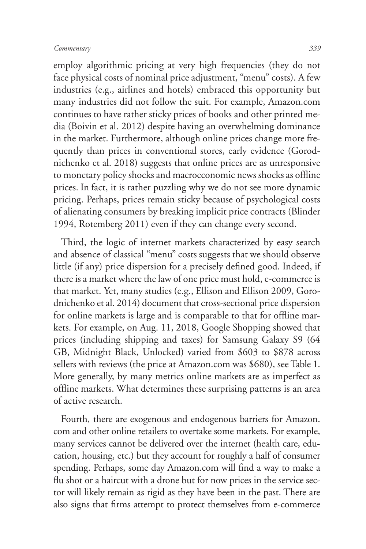employ algorithmic pricing at very high frequencies (they do not face physical costs of nominal price adjustment, "menu" costs). A few industries (e.g., airlines and hotels) embraced this opportunity but many industries did not follow the suit. For example, Amazon.com continues to have rather sticky prices of books and other printed media (Boivin et al. 2012) despite having an overwhelming dominance in the market. Furthermore, although online prices change more frequently than prices in conventional stores, early evidence (Gorodnichenko et al. 2018) suggests that online prices are as unresponsive to monetary policy shocks and macroeconomic news shocks as offline prices. In fact, it is rather puzzling why we do not see more dynamic pricing. Perhaps, prices remain sticky because of psychological costs of alienating consumers by breaking implicit price contracts (Blinder 1994, Rotemberg 2011) even if they can change every second.

Third, the logic of internet markets characterized by easy search and absence of classical "menu" costs suggests that we should observe little (if any) price dispersion for a precisely defined good. Indeed, if there is a market where the law of one price must hold, e-commerce is that market. Yet, many studies (e.g., Ellison and Ellison 2009, Gorodnichenko et al. 2014) document that cross-sectional price dispersion for online markets is large and is comparable to that for offline markets. For example, on Aug. 11, 2018, Google Shopping showed that prices (including shipping and taxes) for Samsung Galaxy S9 (64 GB, Midnight Black, Unlocked) varied from \$603 to \$878 across sellers with reviews (the price at Amazon.com was \$680), see Table 1. More generally, by many metrics online markets are as imperfect as offline markets. What determines these surprising patterns is an area of active research.

Fourth, there are exogenous and endogenous barriers for Amazon. com and other online retailers to overtake some markets. For example, many services cannot be delivered over the internet (health care, education, housing, etc.) but they account for roughly a half of consumer spending. Perhaps, some day Amazon.com will find a way to make a flu shot or a haircut with a drone but for now prices in the service sector will likely remain as rigid as they have been in the past. There are also signs that firms attempt to protect themselves from e-commerce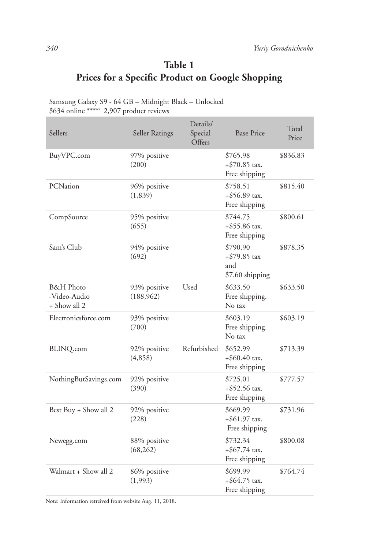# **Table 1 Prices for a Specific Product on Google Shopping**

| Sellers                                              | Seller Ratings             | Details/<br>Special<br>Offers | <b>Base Price</b>                                    | Total<br>Price |
|------------------------------------------------------|----------------------------|-------------------------------|------------------------------------------------------|----------------|
| BuyVPC.com                                           | 97% positive<br>(200)      |                               | \$765.98<br>$+ $70.85$ tax.<br>Free shipping         | \$836.83       |
| PCNation                                             | 96% positive<br>(1,839)    |                               | \$758.51<br>$+$ \$56.89 tax.<br>Free shipping        | \$815.40       |
| CompSource                                           | 95% positive<br>(655)      |                               | \$744.75<br>$+ $55.86$ tax.<br>Free shipping         | \$800.61       |
| Sam's Club                                           | 94% positive<br>(692)      |                               | \$790.90<br>$+ $79.85$ tax<br>and<br>\$7.60 shipping | \$878.35       |
| <b>B&amp;H</b> Photo<br>-Video-Audio<br>+ Show all 2 | 93% positive<br>(188, 962) | Used                          | \$633.50<br>Free shipping.<br>No tax                 | \$633.50       |
| Electronicsforce.com                                 | 93% positive<br>(700)      |                               | \$603.19<br>Free shipping.<br>No tax                 | \$603.19       |
| BLINQ.com                                            | 92% positive<br>(4,858)    | Refurbished                   | \$652.99<br>$+$ \$60.40 tax.<br>Free shipping        | \$713.39       |
| NothingButSavings.com                                | 92% positive<br>(390)      |                               | \$725.01<br>$+$ \$52.56 tax.<br>Free shipping        | \$777.57       |
| Best Buy + Show all 2                                | 92% positive<br>(228)      |                               | \$669.99<br>$+$ \$61.97 tax.<br>Free shipping        | \$731.96       |
| Newegg.com                                           | 88% positive<br>(68, 262)  |                               | \$732.34<br>$+$ \$67.74 tax.<br>Free shipping        | \$800.08       |
| Walmart + Show all 2                                 | 86% positive<br>(1,993)    |                               | \$699.99<br>$+$ \$64.75 tax.<br>Free shipping        | \$764.74       |

Samsung Galaxy S9 - 64 GB – Midnight Black – Unlocked \$634 online \*\*\*\*\* 2,907 product reviews

Note: Information retreived from website Aug. 11, 2018.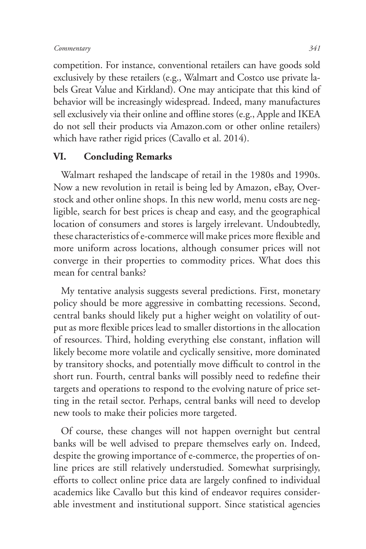competition. For instance, conventional retailers can have goods sold exclusively by these retailers (e.g., Walmart and Costco use private labels Great Value and Kirkland). One may anticipate that this kind of behavior will be increasingly widespread. Indeed, many manufactures sell exclusively via their online and offline stores (e.g., Apple and IKEA do not sell their products via Amazon.com or other online retailers) which have rather rigid prices (Cavallo et al. 2014).

# **VI. Concluding Remarks**

Walmart reshaped the landscape of retail in the 1980s and 1990s. Now a new revolution in retail is being led by Amazon, eBay, Overstock and other online shops. In this new world, menu costs are negligible, search for best prices is cheap and easy, and the geographical location of consumers and stores is largely irrelevant. Undoubtedly, these characteristics of e-commerce will make prices more flexible and more uniform across locations, although consumer prices will not converge in their properties to commodity prices. What does this mean for central banks?

My tentative analysis suggests several predictions. First, monetary policy should be more aggressive in combatting recessions. Second, central banks should likely put a higher weight on volatility of output as more flexible prices lead to smaller distortions in the allocation of resources. Third, holding everything else constant, inflation will likely become more volatile and cyclically sensitive, more dominated by transitory shocks, and potentially move difficult to control in the short run. Fourth, central banks will possibly need to redefine their targets and operations to respond to the evolving nature of price setting in the retail sector. Perhaps, central banks will need to develop new tools to make their policies more targeted.

Of course, these changes will not happen overnight but central banks will be well advised to prepare themselves early on. Indeed, despite the growing importance of e-commerce, the properties of online prices are still relatively understudied. Somewhat surprisingly, efforts to collect online price data are largely confined to individual academics like Cavallo but this kind of endeavor requires considerable investment and institutional support. Since statistical agencies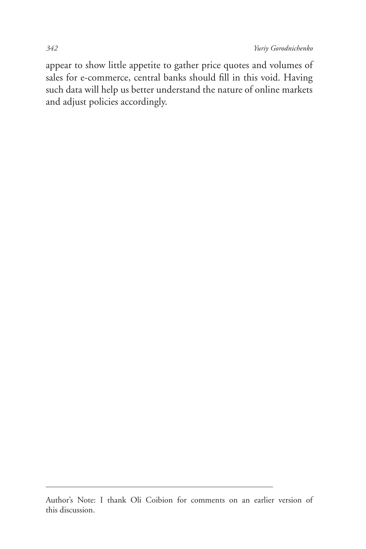appear to show little appetite to gather price quotes and volumes of sales for e-commerce, central banks should fill in this void. Having such data will help us better understand the nature of online markets and adjust policies accordingly.

Author's Note: I thank Oli Coibion for comments on an earlier version of this discussion.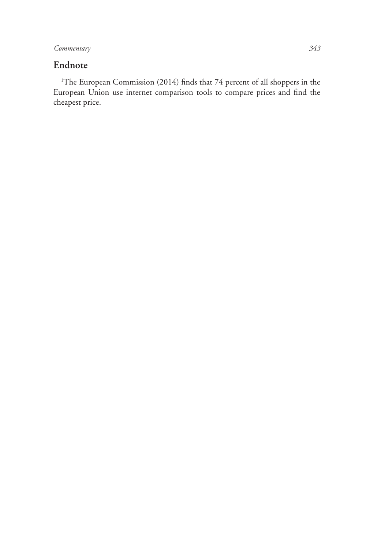## **Endnote**

<sup>1</sup>The European Commission (2014) finds that 74 percent of all shoppers in the European Union use internet comparison tools to compare prices and find the cheapest price.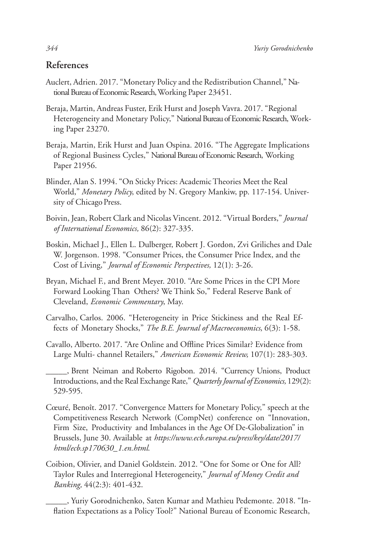## **References**

- Auclert, Adrien. 2017. "Monetary Policy and the Redistribution Channel," National Bureau of Economic Research, Working Paper 23451.
- Beraja, Martin, Andreas Fuster, Erik Hurst and Joseph Vavra. 2017. "Regional Heterogeneity and Monetary Policy," National Bureau of Economic Research, Working Paper 23270.
- Beraja, Martin, Erik Hurst and Juan Ospina. 2016. "The Aggregate Implications of Regional Business Cycles," National Bureau of Economic Research, Working Paper 21956.
- Blinder, Alan S. 1994. "On Sticky Prices: Academic Theories Meet the Real World," *Monetary Policy*, edited by N. Gregory Mankiw, pp. 117-154. University of Chicago Press.
- Boivin, Jean, Robert Clark and Nicolas Vincent. 2012. "Virtual Borders," *Journal of International Economics,* 86(2): 327-335.
- Boskin, Michael J., Ellen L. Dulberger, Robert J. Gordon, Zvi Griliches and Dale W. Jorgenson. 1998. "Consumer Prices, the Consumer Price Index, and the Cost of Living," *Journal of Economic Perspectives,* 12(1): 3-26.
- Bryan, Michael F., and Brent Meyer. 2010. "Are Some Prices in the CPI More Forward Looking Than Others? We Think So," Federal Reserve Bank of Cleveland, *Economic Commentary*, May.
- Carvalho, Carlos. 2006. "Heterogeneity in Price Stickiness and the Real Effects of Monetary Shocks," *The B.E. Journal of Macroeconomics*, 6(3): 1-58.
- Cavallo, Alberto. 2017. "Are Online and Offline Prices Similar? Evidence from Large Multi- channel Retailers," *American Economic Review,* 107(1): 283-303.
- \_\_\_\_\_, Brent Neiman and Roberto Rigobon. 2014. "Currency Unions, Product Introductions, and the Real Exchange Rate," *Quarterly Journal of Economics,* 129(2): 529-595.
- Cœuré, Benoît. 2017. "Convergence Matters for Monetary Policy," speech at the Competitiveness Research Network (CompNet) conference on "Innovation, Firm Size, Productivity and Imbalances in the Age Of De-Globalization" in Brussels, June 30. Available at *https://www.ecb.europa.eu/press/key/date/2017/ html/ecb.sp170630\_1.en.html.*
- Coibion, Olivier, and Daniel Goldstein. 2012. "One for Some or One for All? Taylor Rules and Interregional Heterogeneity," *Journal of Money Credit and Banking,* 44(2:3): 401-432.
	- \_\_\_\_\_, Yuriy Gorodnichenko, Saten Kumar and Mathieu Pedemonte. 2018. "Inflation Expectations as a Policy Tool?" National Bureau of Economic Research,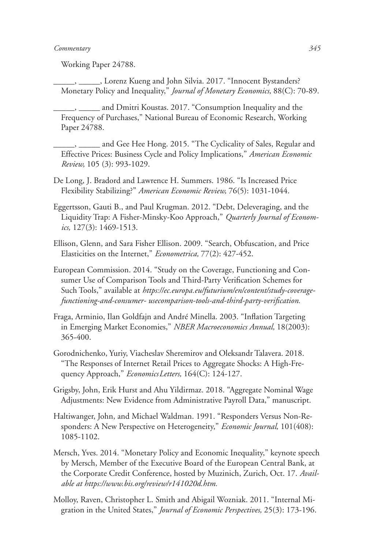Working Paper 24788.

\_\_\_\_\_, \_\_\_\_\_, Lorenz Kueng and John Silvia. 2017. "Innocent Bystanders? Monetary Policy and Inequality," *Journal of Monetary Economics,* 88(C): 70-89.

and Dmitri Koustas. 2017. "Consumption Inequality and the Frequency of Purchases," National Bureau of Economic Research, Working Paper 24788.

\_\_\_\_\_, \_\_\_\_\_ and Gee Hee Hong. 2015. "The Cyclicality of Sales, Regular and Effective Prices: Business Cycle and Policy Implications," *American Economic Review,* 105 (3): 993-1029.

De Long, J. Bradord and Lawrence H. Summers. 1986. "Is Increased Price Flexibility Stabilizing?" *American Economic Review,* 76(5): 1031-1044.

- Eggertsson, Gauti B., and Paul Krugman. 2012. "Debt, Deleveraging, and the Liquidity Trap: A Fisher-Minsky-Koo Approach," *Quarterly Journal of Economics,* 127(3): 1469-1513.
- Ellison, Glenn, and Sara Fisher Ellison. 2009. "Search, Obfuscation, and Price Elasticities on the Internet," *Econometrica,* 77(2): 427-452.

European Commission. 2014. "Study on the Coverage, Functioning and Consumer Use of Comparison Tools and Third-Party Verification Schemes for Such Tools," available at *https://ec.europa.eu/futurium/en/content/study-coveragefunctioning-and-consumer- usecomparison-tools-and-third-party-verification.*

- Fraga, Arminio, Ilan Goldfajn and André Minella. 2003. "Inflation Targeting in Emerging Market Economies," *NBER Macroeconomics Annual,* 18(2003): 365-400.
- Gorodnichenko, Yuriy, Viacheslav Sheremirov and Oleksandr Talavera. 2018. "The Responses of Internet Retail Prices to Aggregate Shocks: A High-Frequency Approach," *Economics Letters,* 164(C): 124-127.
- Grigsby, John, Erik Hurst and Ahu Yildirmaz. 2018. "Aggregate Nominal Wage Adjustments: New Evidence from Administrative Payroll Data," manuscript.
- Haltiwanger, John, and Michael Waldman. 1991. "Responders Versus Non-Responders: A New Perspective on Heterogeneity," *Economic Journal,* 101(408): 1085-1102.
- Mersch, Yves. 2014. "Monetary Policy and Economic Inequality," keynote speech by Mersch, Member of the Executive Board of the European Central Bank, at the Corporate Credit Conference, hosted by Muzinich, Zurich, Oct. 17. *Available at https://www.bis.org/review/r141020d.htm.*
- Molloy, Raven, Christopher L. Smith and Abigail Wozniak. 2011. "Internal Migration in the United States," *Journal of Economic Perspectives,* 25(3): 173-196.